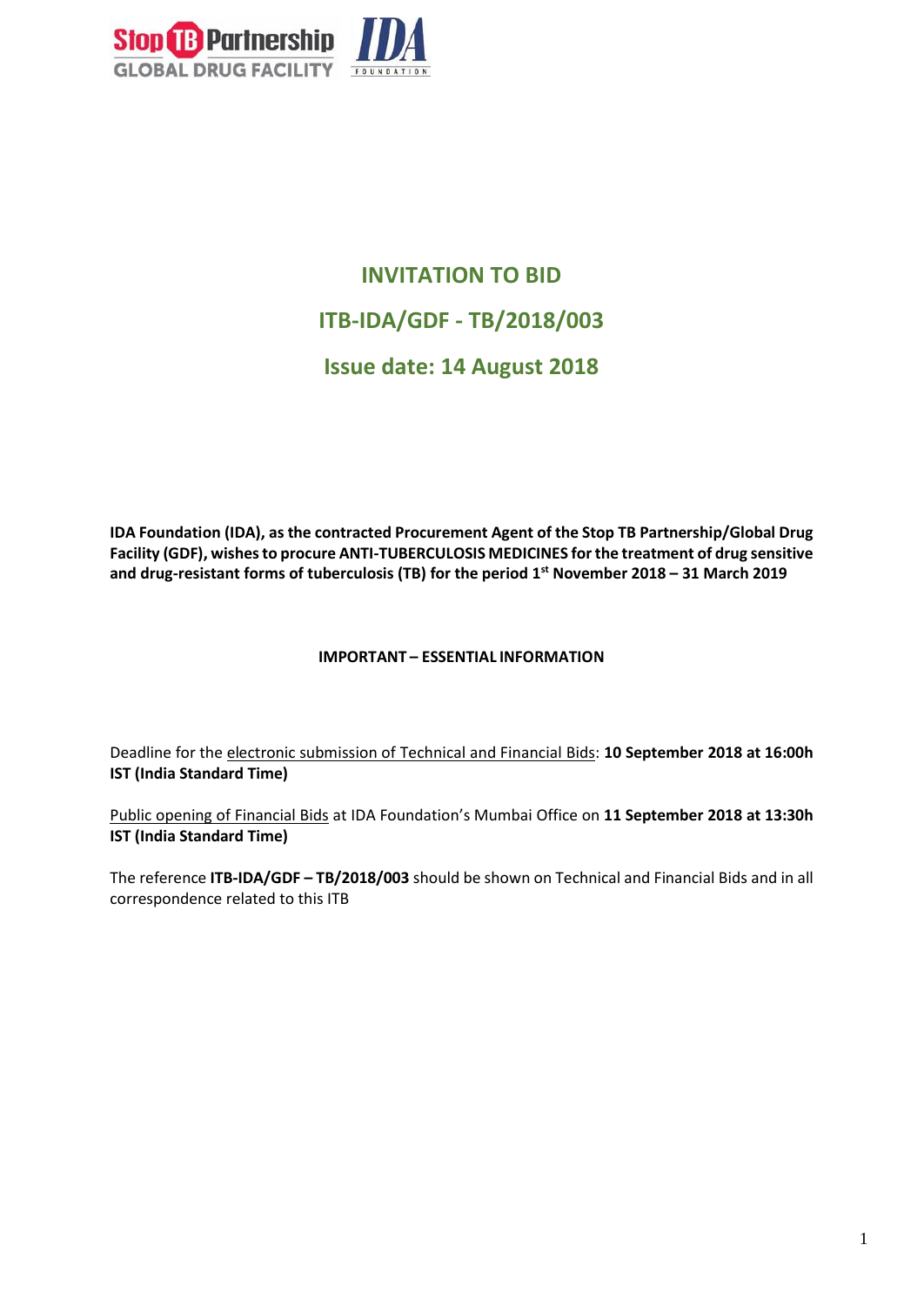

# **INVITATION TO BID ITB-IDA/GDF - TB/2018/003 Issue date: 14 August 2018**

**IDA Foundation (IDA), as the contracted Procurement Agent of the Stop TB Partnership/Global Drug Facility (GDF), wishesto procure ANTI-TUBERCULOSIS MEDICINES for the treatment of drug sensitive and drug-resistant forms of tuberculosis (TB) for the period 1st November 2018 – 31 March 2019**

#### **IMPORTANT – ESSENTIAL INFORMATION**

Deadline for the electronic submission of Technical and Financial Bids: **10 September 2018 at 16:00h IST (India Standard Time)** 

Public opening of Financial Bids at IDA Foundation's Mumbai Office on **11 September 2018 at 13:30h IST (India Standard Time)**

The reference **ITB-IDA/GDF – TB/2018/003** should be shown on Technical and Financial Bids and in all correspondence related to this ITB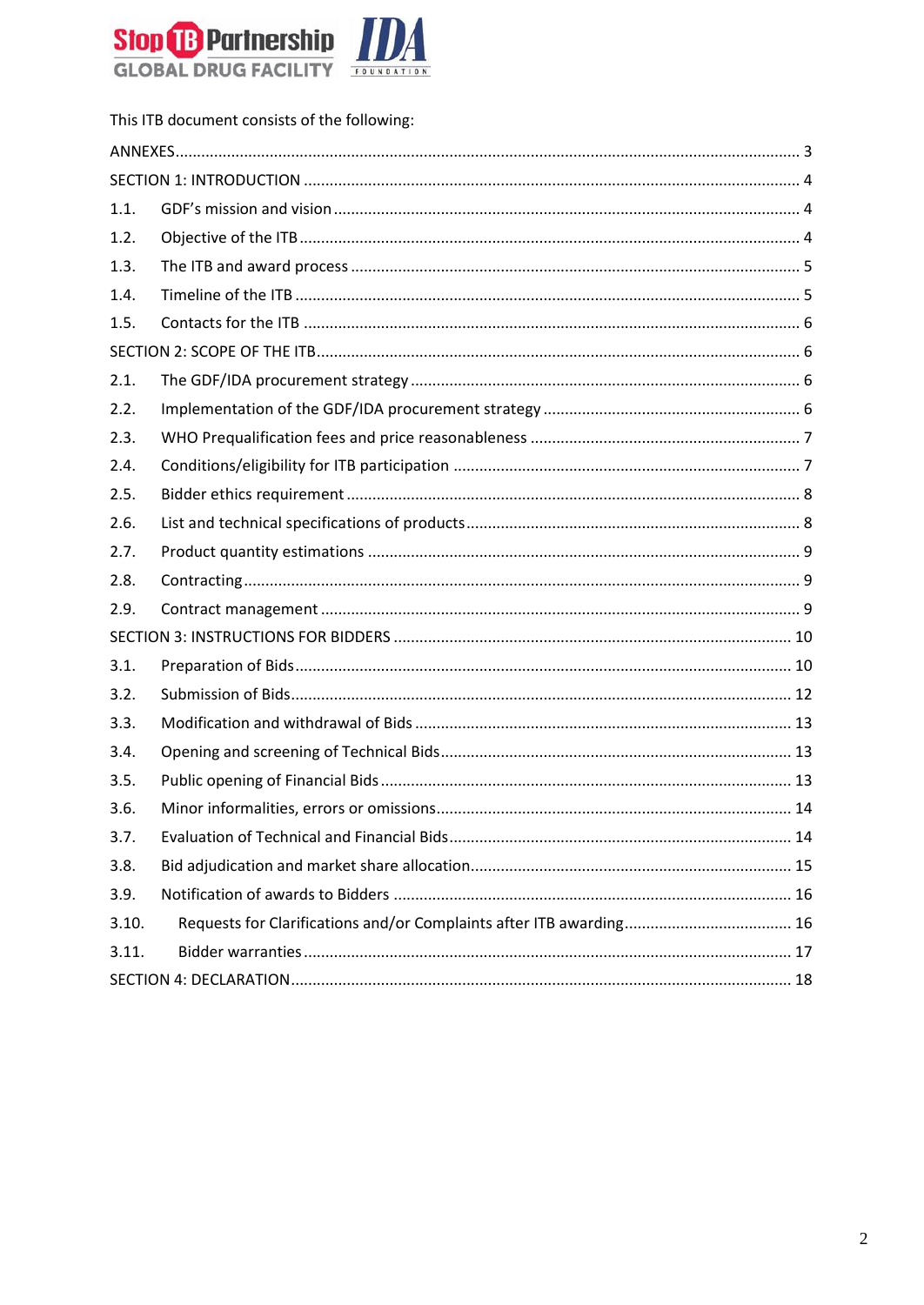

|       | This ITB document consists of the following: |
|-------|----------------------------------------------|
|       |                                              |
|       |                                              |
| 1.1.  |                                              |
| 1.2.  |                                              |
| 1.3.  |                                              |
| 1.4.  |                                              |
| 1.5.  |                                              |
|       |                                              |
| 2.1.  |                                              |
| 2.2.  |                                              |
| 2.3.  |                                              |
| 2.4.  |                                              |
| 2.5.  |                                              |
| 2.6.  |                                              |
| 2.7.  |                                              |
| 2.8.  |                                              |
| 2.9.  |                                              |
|       |                                              |
| 3.1.  |                                              |
| 3.2.  |                                              |
| 3.3.  |                                              |
| 3.4.  |                                              |
| 3.5.  |                                              |
| 3.6.  |                                              |
| 3.7.  |                                              |
| 3.8.  |                                              |
| 3.9.  |                                              |
| 3.10. |                                              |
| 3.11. |                                              |
|       |                                              |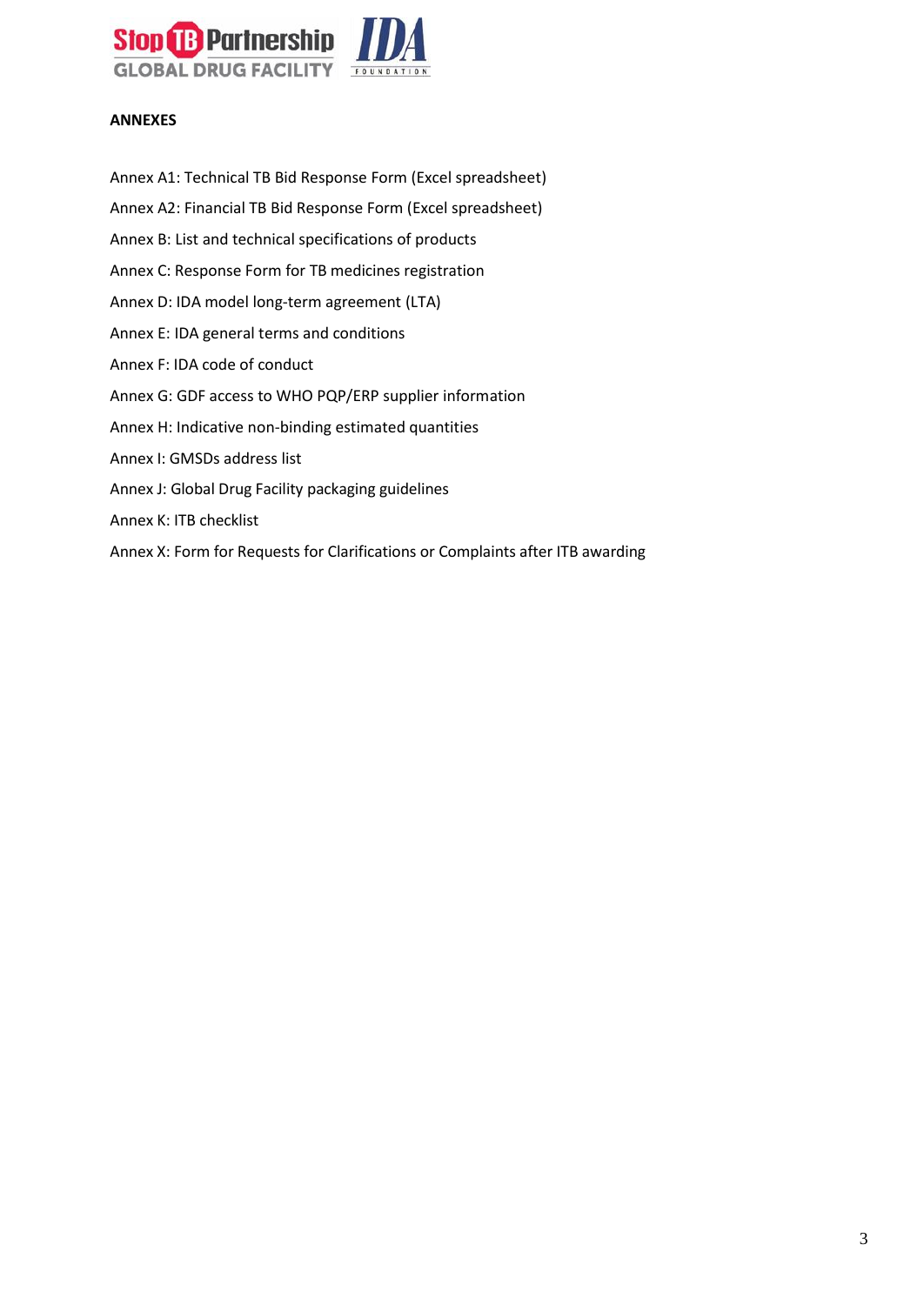

#### <span id="page-2-0"></span>**ANNEXES**

Annex A1: Technical TB Bid Response Form (Excel spreadsheet) Annex A2: Financial TB Bid Response Form (Excel spreadsheet) Annex B: List and technical specifications of products Annex C: Response Form for TB medicines registration Annex D: IDA model long-term agreement (LTA) Annex E: IDA general terms and conditions Annex F: IDA code of conduct Annex G: GDF access to WHO PQP/ERP supplier information Annex H: Indicative non-binding estimated quantities Annex I: GMSDs address list Annex J: Global Drug Facility packaging guidelines Annex K: ITB checklist Annex X: Form for Requests for Clarifications or Complaints after ITB awarding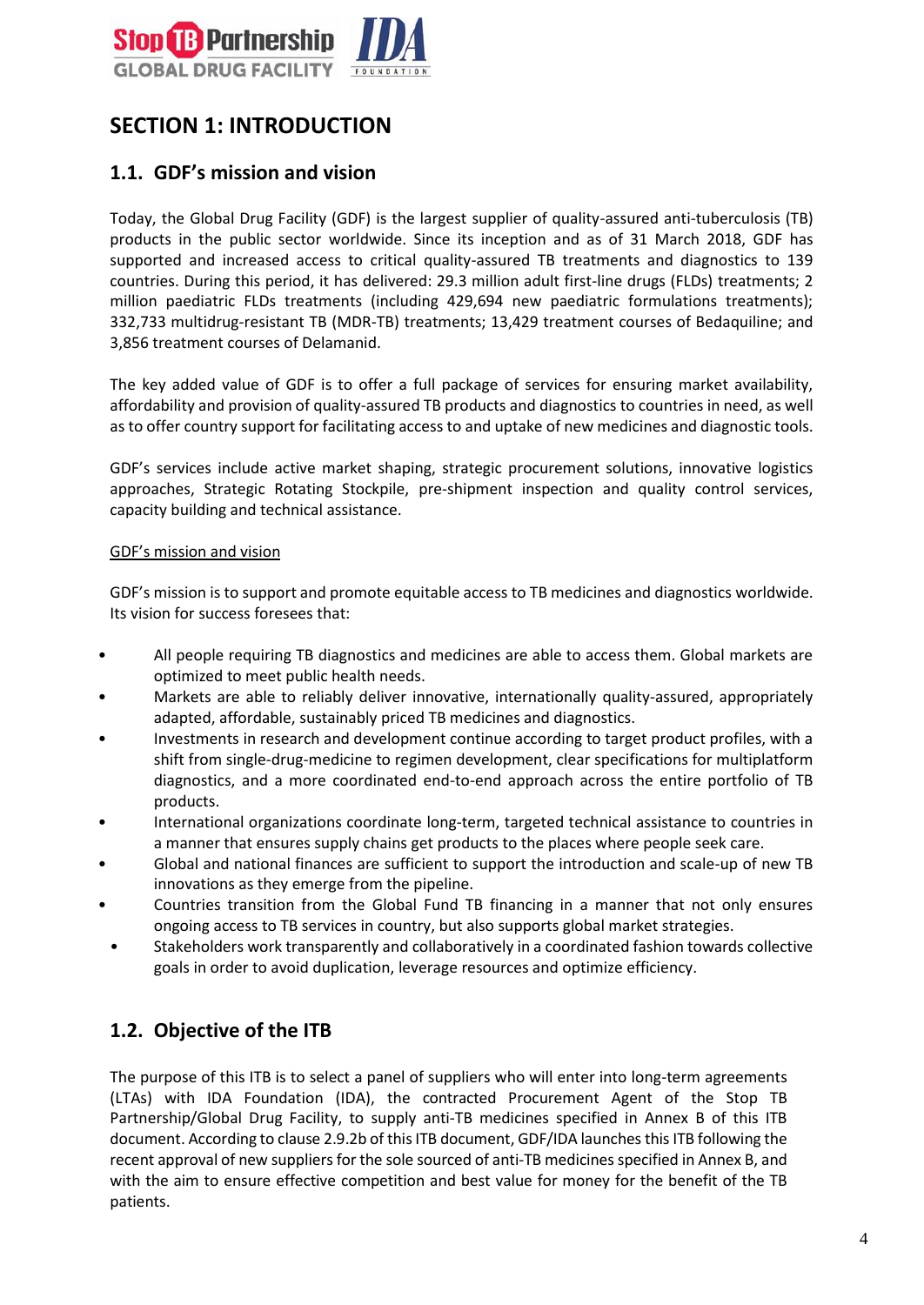

# <span id="page-3-0"></span>**SECTION 1: INTRODUCTION**

## <span id="page-3-1"></span>**1.1. GDF's mission and vision**

Today, the Global Drug Facility (GDF) is the largest supplier of quality-assured anti-tuberculosis (TB) products in the public sector worldwide. Since its inception and as of 31 March 2018, GDF has supported and increased access to critical quality-assured TB treatments and diagnostics to 139 countries. During this period, it has delivered: 29.3 million adult first-line drugs (FLDs) treatments; 2 million paediatric FLDs treatments (including 429,694 new paediatric formulations treatments); 332,733 multidrug-resistant TB (MDR-TB) treatments; 13,429 treatment courses of Bedaquiline; and 3,856 treatment courses of Delamanid.

The key added value of GDF is to offer a full package of services for ensuring market availability, affordability and provision of quality-assured TB products and diagnostics to countries in need, as well as to offer country support for facilitating access to and uptake of new medicines and diagnostic tools.

GDF's services include active market shaping, strategic procurement solutions, innovative logistics approaches, Strategic Rotating Stockpile, pre-shipment inspection and quality control services, capacity building and technical assistance.

#### GDF's mission and vision

GDF's mission is to support and promote equitable access to TB medicines and diagnostics worldwide. Its vision for success foresees that:

- All people requiring TB diagnostics and medicines are able to access them. Global markets are optimized to meet public health needs.
- Markets are able to reliably deliver innovative, internationally quality-assured, appropriately adapted, affordable, sustainably priced TB medicines and diagnostics.
- Investments in research and development continue according to target product profiles, with a shift from single-drug-medicine to regimen development, clear specifications for multiplatform diagnostics, and a more coordinated end-to-end approach across the entire portfolio of TB products.
- International organizations coordinate long-term, targeted technical assistance to countries in a manner that ensures supply chains get products to the places where people seek care.
- Global and national finances are sufficient to support the introduction and scale-up of new TB innovations as they emerge from the pipeline.
- Countries transition from the Global Fund TB financing in a manner that not only ensures ongoing access to TB services in country, but also supports global market strategies.
- Stakeholders work transparently and collaboratively in a coordinated fashion towards collective goals in order to avoid duplication, leverage resources and optimize efficiency.

## <span id="page-3-2"></span>**1.2. Objective of the ITB**

The purpose of this ITB is to select a panel of suppliers who will enter into long-term agreements (LTAs) with IDA Foundation (IDA), the contracted Procurement Agent of the Stop TB Partnership/Global Drug Facility, to supply anti-TB medicines specified in Annex B of this ITB document. According to clause 2.9.2b of this ITB document, GDF/IDA launchesthis ITB following the recent approval of new suppliers for the sole sourced of anti-TB medicines specified in Annex B, and with the aim to ensure effective competition and best value for money for the benefit of the TB patients.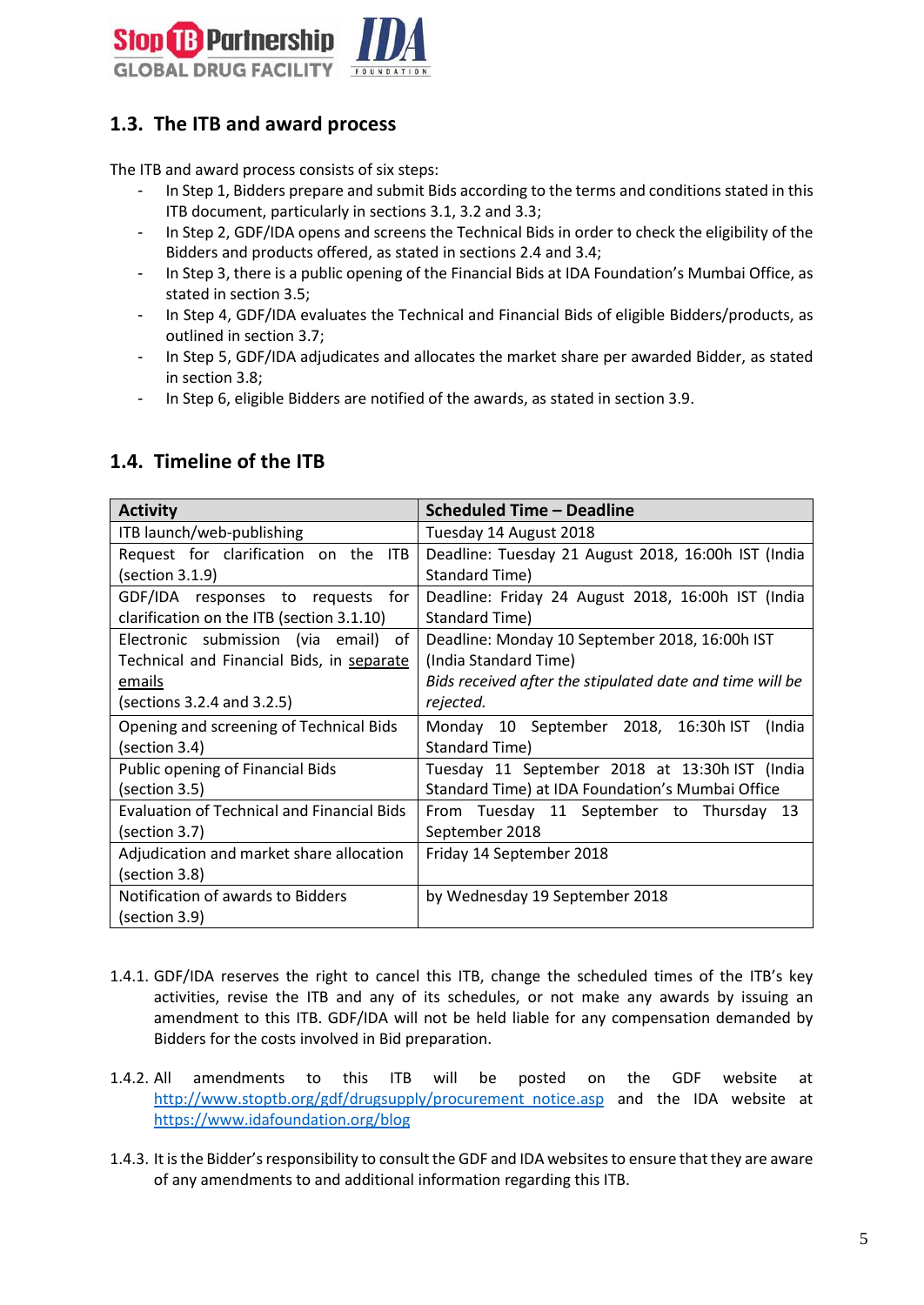

# <span id="page-4-0"></span>**1.3. The ITB and award process**

The ITB and award process consists of six steps:

- In Step 1, Bidders prepare and submit Bids according to the terms and conditions stated in this ITB document, particularly in sections 3.1, 3.2 and 3.3;
- In Step 2, GDF/IDA opens and screens the Technical Bids in order to check the eligibility of the Bidders and products offered, as stated in sections 2.4 and 3.4;
- In Step 3, there is a public opening of the Financial Bids at IDA Foundation's Mumbai Office, as stated in section 3.5;
- In Step 4, GDF/IDA evaluates the Technical and Financial Bids of eligible Bidders/products, as outlined in section 3.7;
- In Step 5, GDF/IDA adjudicates and allocates the market share per awarded Bidder, as stated in section 3.8;
- In Step 6, eligible Bidders are notified of the awards, as stated in section 3.9.

| <b>Activity</b>                                   | <b>Scheduled Time - Deadline</b>                         |
|---------------------------------------------------|----------------------------------------------------------|
| ITB launch/web-publishing                         | Tuesday 14 August 2018                                   |
| Request for clarification on the<br><b>ITB</b>    | Deadline: Tuesday 21 August 2018, 16:00h IST (India      |
| (section 3.1.9)                                   | Standard Time)                                           |
| GDF/IDA responses to requests for                 | Deadline: Friday 24 August 2018, 16:00h IST (India       |
| clarification on the ITB (section 3.1.10)         | Standard Time)                                           |
| Electronic submission (via email)<br>of           | Deadline: Monday 10 September 2018, 16:00h IST           |
| Technical and Financial Bids, in separate         | (India Standard Time)                                    |
| emails                                            | Bids received after the stipulated date and time will be |
| (sections 3.2.4 and 3.2.5)                        | rejected.                                                |
| Opening and screening of Technical Bids           | Monday 10 September 2018, 16:30h IST<br>(India           |
| (section 3.4)                                     | Standard Time)                                           |
| Public opening of Financial Bids                  | Tuesday 11 September 2018 at 13:30h IST (India           |
| (section 3.5)                                     | Standard Time) at IDA Foundation's Mumbai Office         |
| <b>Evaluation of Technical and Financial Bids</b> | From Tuesday 11 September to Thursday 13                 |
| (section 3.7)                                     | September 2018                                           |
| Adjudication and market share allocation          | Friday 14 September 2018                                 |
| (section 3.8)                                     |                                                          |
| Notification of awards to Bidders                 | by Wednesday 19 September 2018                           |
| (section 3.9)                                     |                                                          |

## <span id="page-4-1"></span>**1.4. Timeline of the ITB**

- 1.4.1. GDF/IDA reserves the right to cancel this ITB, change the scheduled times of the ITB's key activities, revise the ITB and any of its schedules, or not make any awards by issuing an amendment to this ITB. GDF/IDA will not be held liable for any compensation demanded by Bidders for the costs involved in Bid preparation.
- 1.4.2. All amendments to this ITB will be posted on the GDF website at [http://www.stoptb.org/gdf/drugsupply/procurement\\_notice.asp](http://www.stoptb.org/gdf/drugsupply/procurement_notice.asp) and the IDA website at https://www.idafoundation.org/blog
- 1.4.3. It is the Bidder's responsibility to consult the GDF and IDA websites to ensure that they are aware of any amendments to and additional information regarding this ITB.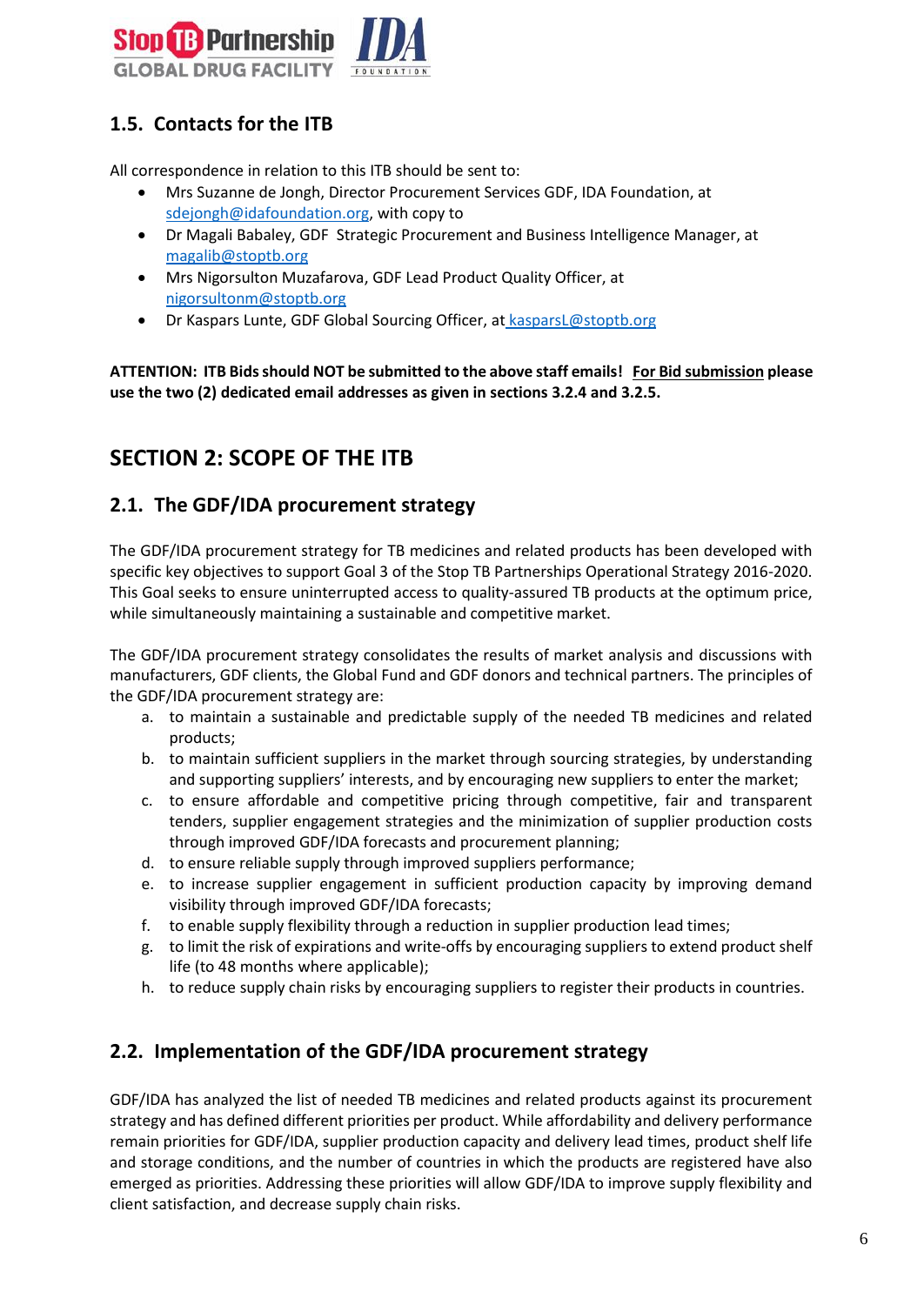

# <span id="page-5-0"></span>**1.5. Contacts for the ITB**

All correspondence in relation to this ITB should be sent to:

- Mrs Suzanne de Jongh, Director Procurement Services GDF, IDA Foundation, [at](mailto:sdejongh@idafoundation.org)  [sdejongh@idafoundation.org,](mailto:sdejongh@idafoundation.org) with copy to
- Dr Magali Babaley, GDF [S](mailto:joubertonf@who.int)trategic Procurement and Business Intelligence Manager, at [magalib@stoptb.org](mailto:magalib@stoptb.org)
- Mrs Nigorsulton Muzafarova, GDF Lead Product Quality Officer, at [nigorsultonm@stoptb.org](mailto:nigorsultonm@stoptb.org)
- Dr Kaspars Lunte, GDF Global Sourcing Officer, at kasparsL@stoptb.org

**ATTENTION: ITB Bids should NOT be submitted to the above staff emails! For Bid submission please use the two (2) dedicated email addresses as given in sections 3.2.4 and 3.2.5.**

# <span id="page-5-1"></span>**SECTION 2: SCOPE OF THE ITB**

#### <span id="page-5-2"></span>**2.1. The GDF/IDA procurement strategy**

The GDF/IDA procurement strategy for TB medicines and related products has been developed with specific key objectives to support Goal 3 of the Stop TB Partnerships Operational Strategy 2016-2020. This Goal seeks to ensure uninterrupted access to quality-assured TB products at the optimum price, while simultaneously maintaining a sustainable and competitive market.

The GDF/IDA procurement strategy consolidates the results of market analysis and discussions with manufacturers, GDF clients, the Global Fund and GDF donors and technical partners. The principles of the GDF/IDA procurement strategy are:

- a. to maintain a sustainable and predictable supply of the needed TB medicines and related products;
- b. to maintain sufficient suppliers in the market through sourcing strategies, by understanding and supporting suppliers' interests, and by encouraging new suppliers to enter the market;
- c. to ensure affordable and competitive pricing through competitive, fair and transparent tenders, supplier engagement strategies and the minimization of supplier production costs through improved GDF/IDA forecasts and procurement planning;
- d. to ensure reliable supply through improved suppliers performance;
- e. to increase supplier engagement in sufficient production capacity by improving demand visibility through improved GDF/IDA forecasts;
- f. to enable supply flexibility through a reduction in supplier production lead times;
- g. to limit the risk of expirations and write-offs by encouraging suppliers to extend product shelf life (to 48 months where applicable);
- h. to reduce supply chain risks by encouraging suppliers to register their products in countries.

## <span id="page-5-3"></span>**2.2. Implementation of the GDF/IDA procurement strategy**

GDF/IDA has analyzed the list of needed TB medicines and related products against its procurement strategy and has defined different priorities per product. While affordability and delivery performance remain priorities for GDF/IDA, supplier production capacity and delivery lead times, product shelf life and storage conditions, and the number of countries in which the products are registered have also emerged as priorities. Addressing these priorities will allow GDF/IDA to improve supply flexibility and client satisfaction, and decrease supply chain risks.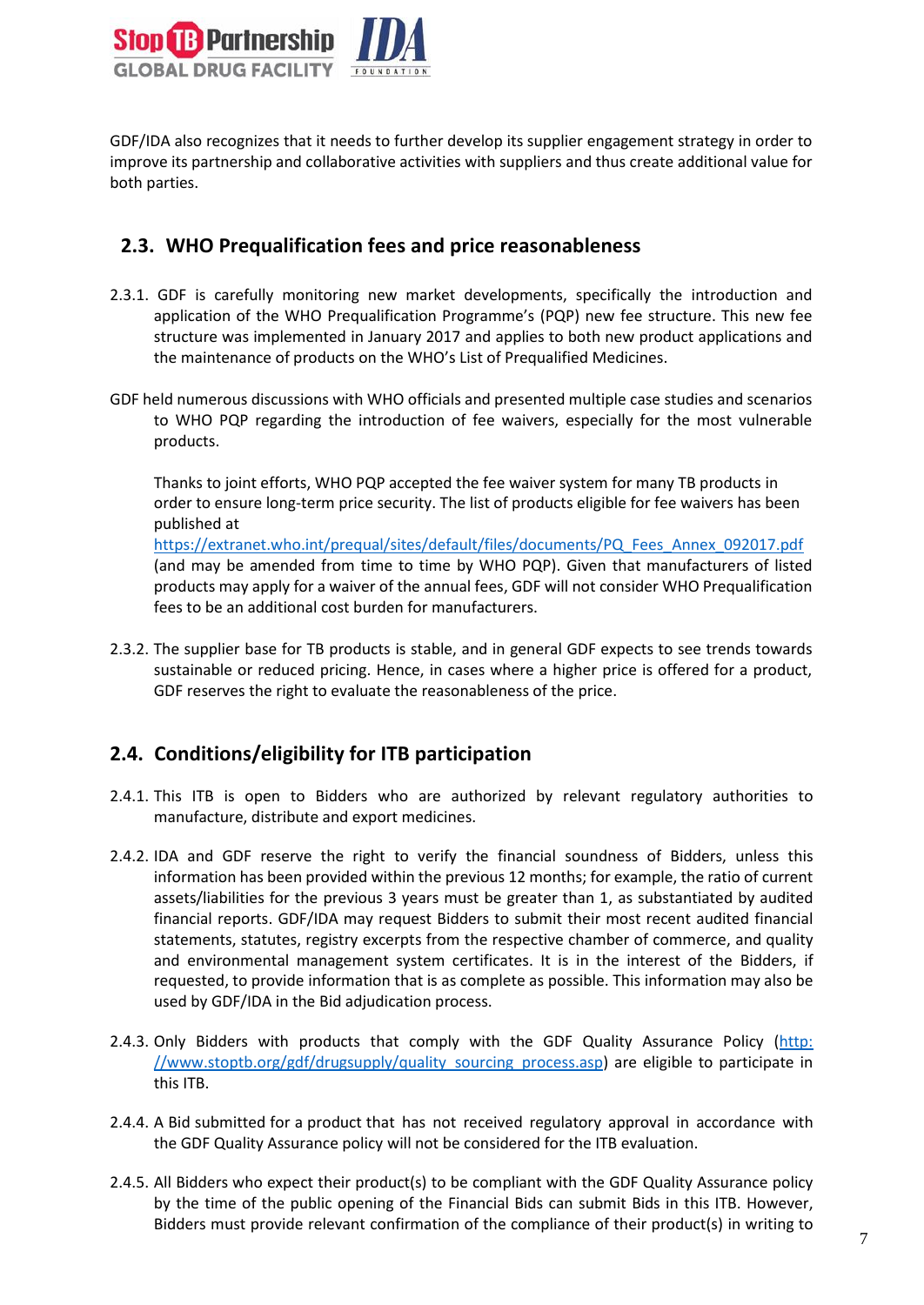

GDF/IDA also recognizes that it needs to further develop its supplier engagement strategy in order to improve its partnership and collaborative activities with suppliers and thus create additional value for both parties.

#### <span id="page-6-0"></span>**2.3. WHO Prequalification fees and price reasonableness**

- 2.3.1. GDF is carefully monitoring new market developments, specifically the introduction and application of the WHO Prequalification Programme's (PQP) new fee structure. This new fee structure was implemented in January 2017 and applies to both new product applications and the maintenance of products on the WHO's List of Prequalified Medicines.
- GDF held numerous discussions with WHO officials and presented multiple case studies and scenarios to WHO PQP regarding the introduction of fee waivers, especially for the most vulnerable products.

Thanks to joint efforts, WHO PQP accepted the fee waiver system for many TB products in order to ensure long-term price security. The list of products eligible for fee waivers has been published at [https://extranet.who.int/prequal/sites/default/files/documents/PQ\\_Fees\\_Annex\\_092017.pdf](https://extranet.who.int/prequal/sites/default/files/documents/PQ_Fees_Annex_092017.pdf) (and may be amended from time to time by WHO PQP). Given that manufacturers of listed products may apply for a waiver of the annual fees, GDF will not consider WHO Prequalification fees to be an additional cost burden for manufacturers.

2.3.2. The supplier base for TB products is stable, and in general GDF expects to see trends towards sustainable or reduced pricing. Hence, in cases where a higher price is offered for a product, GDF reserves the right to evaluate the reasonableness of the price.

## <span id="page-6-1"></span>**2.4. Conditions/eligibility for ITB participation**

- 2.4.1. This ITB is open to Bidders who are authorized by relevant regulatory authorities to manufacture, distribute and export medicines.
- 2.4.2. IDA and GDF reserve the right to verify the financial soundness of Bidders, unless this information has been provided within the previous 12 months; for example, the ratio of current assets/liabilities for the previous 3 years must be greater than 1, as substantiated by audited financial reports. GDF/IDA may request Bidders to submit their most recent audited financial statements, statutes, registry excerpts from the respective chamber of commerce, and quality and environmental management system certificates. It is in the interest of the Bidders, if requested, to provide information that is as complete as possible. This information may also be used by GDF/IDA in the Bid adjudication process.
- 2.4.3. Only Bidders with products that comply with the GDF Quality Assurance Policy (http: //www.stoptb.org/gdf/drugsupply/quality\_sourcing\_process.asp) are eligible to participate in this ITB.
- 2.4.4. A Bid submitted for a product that has not received regulatory approval in accordance with the GDF Quality Assurance policy will not be considered for the ITB evaluation.
- 2.4.5. All Bidders who expect their product(s) to be compliant with the GDF Quality Assurance policy by the time of the public opening of the Financial Bids can submit Bids in this ITB. However, Bidders must provide relevant confirmation of the compliance of their product(s) in writing to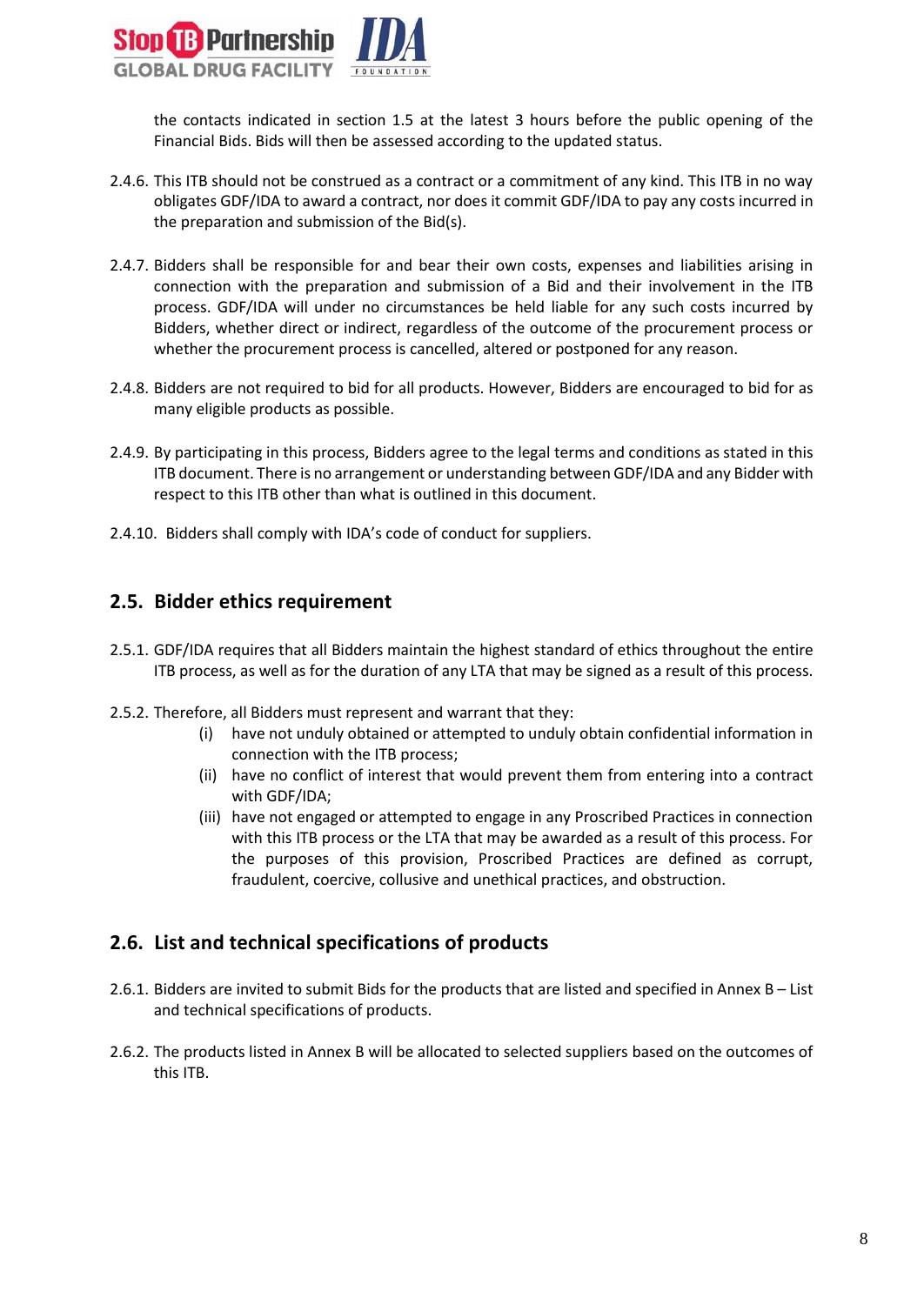

the contacts indicated in section 1.5 at the latest 3 hours before the public opening of the Financial Bids. Bids will then be assessed according to the updated status.

- 2.4.6. This ITB should not be construed as a contract or a commitment of any kind. This ITB in no way obligates GDF/IDA to award a contract, nor does it commit GDF/IDA to pay any costs incurred in the preparation and submission of the Bid(s).
- 2.4.7. Bidders shall be responsible for and bear their own costs, expenses and liabilities arising in connection with the preparation and submission of a Bid and their involvement in the ITB process. GDF/IDA will under no circumstances be held liable for any such costs incurred by Bidders, whether direct or indirect, regardless of the outcome of the procurement process or whether the procurement process is cancelled, altered or postponed for any reason.
- 2.4.8. Bidders are not required to bid for all products. However, Bidders are encouraged to bid for as many eligible products as possible.
- 2.4.9. By participating in this process, Bidders agree to the legal terms and conditions as stated in this ITB document. There is no arrangement or understanding between GDF/IDA and any Bidder with respect to this ITB other than what is outlined in this document.
- 2.4.10. Bidders shall comply with IDA's [code of conduct](http://www.un.org/Depts/ptd/sites/dr7.un.org.Depts.ptd/files/files/attachment/page/2014/February%202014/conduct_english.pdf) for suppliers.

#### <span id="page-7-0"></span>**2.5. Bidder ethics requirement**

- 2.5.1. GDF/IDA requires that all Bidders maintain the highest standard of ethics throughout the entire ITB process, as well as for the duration of any LTA that may be signed as a result of this process.
- 2.5.2. Therefore, all Bidders must represent and warrant that they:
	- (i) have not unduly obtained or attempted to unduly obtain confidential information in connection with the ITB process;
	- (ii) have no conflict of interest that would prevent them from entering into a contract with GDF/IDA;
	- (iii) have not engaged or attempted to engage in any Proscribed Practices in connection with this ITB process or the LTA that may be awarded as a result of this process. For the purposes of this provision, Proscribed Practices are defined as corrupt, fraudulent, coercive, collusive and unethical practices, and obstruction.

#### <span id="page-7-1"></span>**2.6. List and technical specifications of products**

- 2.6.1. Bidders are invited to submit Bids for the products that are listed and specified in Annex B List and technical specifications of products.
- 2.6.2. The products listed in Annex B will be allocated to selected suppliers based on the outcomes of this ITB.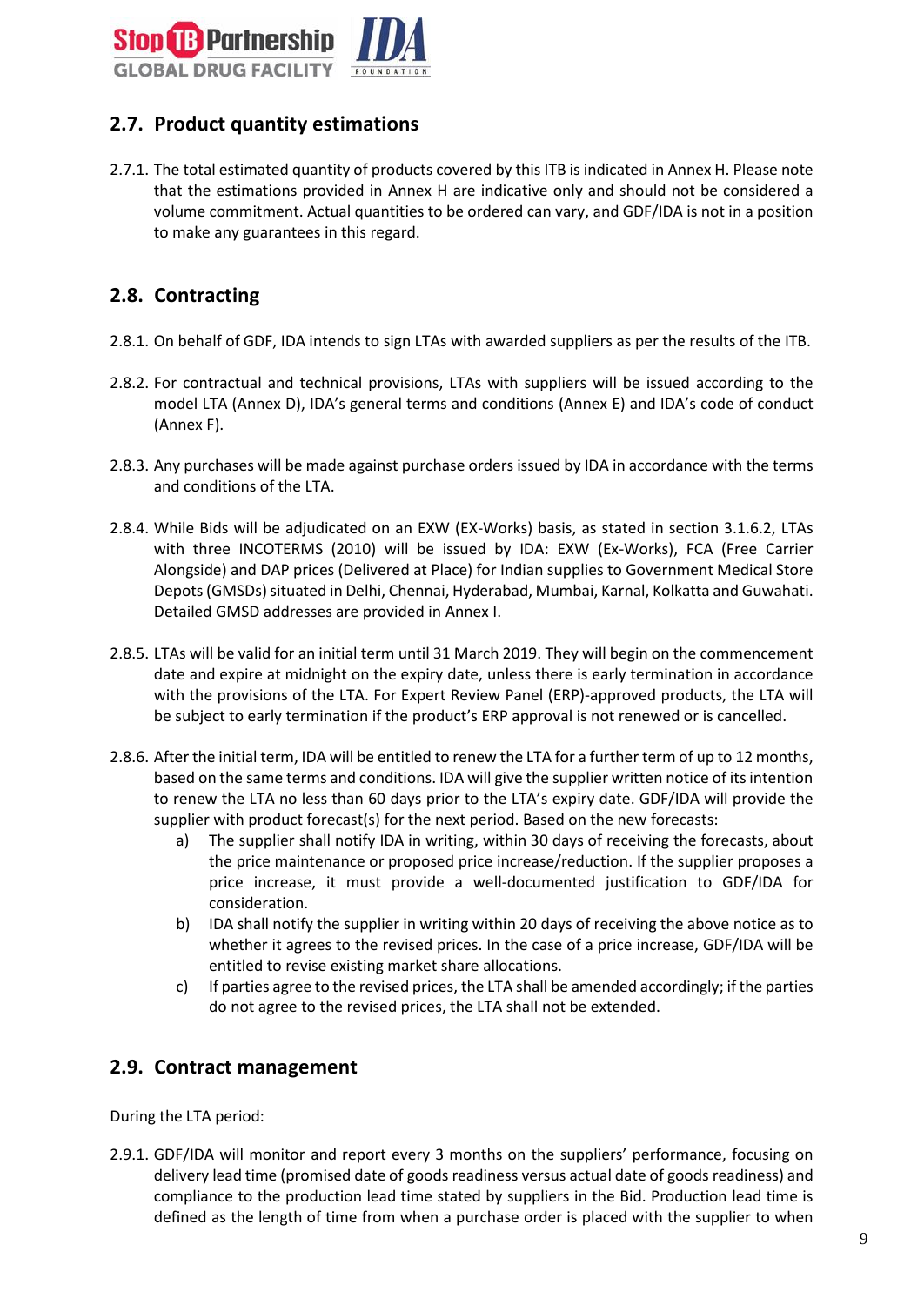

# <span id="page-8-0"></span>**2.7. Product quantity estimations**

2.7.1. The total estimated quantity of products covered by this ITB is indicated in Annex H. Please note that the estimations provided in Annex H are indicative only and should not be considered a volume commitment. Actual quantities to be ordered can vary, and GDF/IDA is not in a position to make any guarantees in this regard.

## <span id="page-8-1"></span>**2.8. Contracting**

- 2.8.1. On behalf of GDF, IDA intends to sign LTAs with awarded suppliers as per the results of the ITB.
- 2.8.2. For contractual and technical provisions, LTAs with suppliers will be issued according to the model LTA (Annex D), IDA's general terms and conditions (Annex E) and IDA's code of conduct (Annex F).
- 2.8.3. Any purchases will be made against purchase orders issued by IDA in accordance with the terms and conditions of the LTA.
- 2.8.4. While Bids will be adjudicated on an EXW (EX-Works) basis, as stated in section 3.1.6.2, LTAs with three INCOTERMS (2010) will be issued by IDA: EXW (Ex-Works), FCA (Free Carrier Alongside) and DAP prices (Delivered at Place) for Indian supplies to Government Medical Store Depots (GMSDs) situated in Delhi, Chennai, Hyderabad, Mumbai, Karnal, Kolkatta and Guwahati. Detailed GMSD addresses are provided in Annex I.
- 2.8.5. LTAs will be valid for an initial term until 31 March 2019. They will begin on the commencement date and expire at midnight on the expiry date, unless there is early termination in accordance with the provisions of the LTA. For Expert Review Panel (ERP)-approved products, the LTA will be subject to early termination if the product's ERP approval is not renewed or is cancelled.
- 2.8.6. After the initial term, IDA will be entitled to renew the LTA for a further term of up to 12 months, based on the same terms and conditions. IDA will give the supplier written notice of its intention to renew the LTA no less than 60 days prior to the LTA's expiry date. GDF/IDA will provide the supplier with product forecast(s) for the next period. Based on the new forecasts:
	- a) The supplier shall notify IDA in writing, within 30 days of receiving the forecasts, about the price maintenance or proposed price increase/reduction. If the supplier proposes a price increase, it must provide a well-documented justification to GDF/IDA for consideration.
	- b) IDA shall notify the supplier in writing within 20 days of receiving the above notice as to whether it agrees to the revised prices. In the case of a price increase, GDF/IDA will be entitled to revise existing market share allocations.
	- c) If parties agree to the revised prices, the LTA shall be amended accordingly; if the parties do not agree to the revised prices, the LTA shall not be extended.

#### <span id="page-8-2"></span>**2.9. Contract management**

During the LTA period:

2.9.1. GDF/IDA will monitor and report every 3 months on the suppliers' performance, focusing on delivery lead time (promised date of goods readiness versus actual date of goods readiness) and compliance to the production lead time stated by suppliers in the Bid. Production lead time is defined as the length of time from when a purchase order is placed with the supplier to when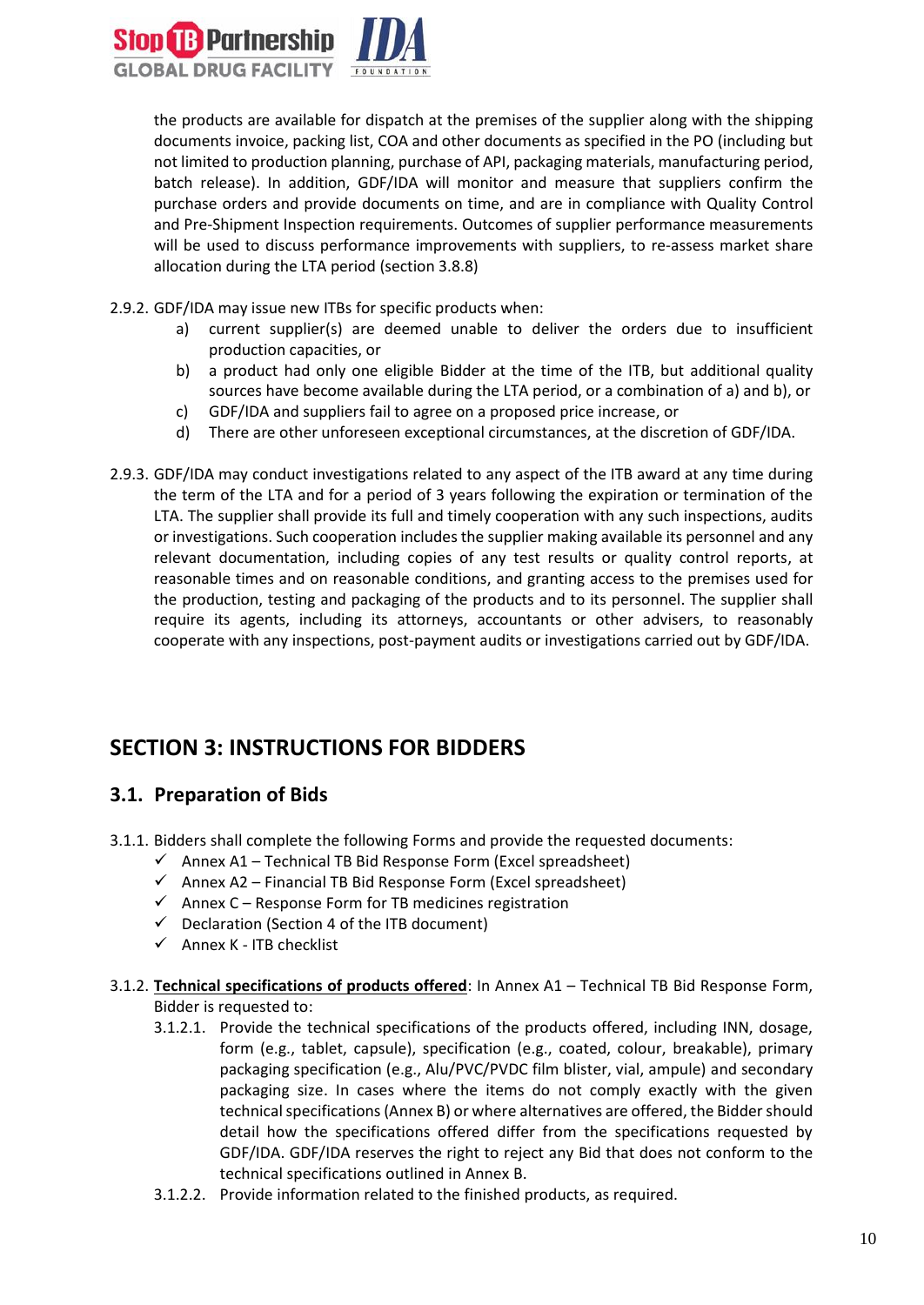

the products are available for dispatch at the premises of the supplier along with the shipping documents invoice, packing list, COA and other documents as specified in the PO (including but not limited to production planning, purchase of API, packaging materials, manufacturing period, batch release). In addition, GDF/IDA will monitor and measure that suppliers confirm the purchase orders and provide documents on time, and are in compliance with Quality Control and Pre-Shipment Inspection requirements. Outcomes of supplier performance measurements will be used to discuss performance improvements with suppliers, to re-assess market share allocation during the LTA period (section 3.8.8)

- 2.9.2. GDF/IDA may issue new ITBs for specific products when:
	- a) current supplier(s) are deemed unable to deliver the orders due to insufficient production capacities, or
	- b) a product had only one eligible Bidder at the time of the ITB, but additional quality sources have become available during the LTA period, or a combination of a) and b), or
	- c) GDF/IDA and suppliers fail to agree on a proposed price increase, or
	- d) There are other unforeseen exceptional circumstances, at the discretion of GDF/IDA.
- 2.9.3. GDF/IDA may conduct investigations related to any aspect of the ITB award at any time during the term of the LTA and for a period of 3 years following the expiration or termination of the LTA. The supplier shall provide its full and timely cooperation with any such inspections, audits or investigations. Such cooperation includes the supplier making available its personnel and any relevant documentation, including copies of any test results or quality control reports, at reasonable times and on reasonable conditions, and granting access to the premises used for the production, testing and packaging of the products and to its personnel. The supplier shall require its agents, including its attorneys, accountants or other advisers, to reasonably cooperate with any inspections, post-payment audits or investigations carried out by GDF/IDA.

# <span id="page-9-0"></span>**SECTION 3: INSTRUCTIONS FOR BIDDERS**

#### <span id="page-9-1"></span>**3.1. Preparation of Bids**

- 3.1.1. Bidders shall complete the following Forms and provide the requested documents:
	- $\checkmark$  Annex A1 Technical TB Bid Response Form (Excel spreadsheet)
	- $\checkmark$  Annex A2 Financial TB Bid Response Form (Excel spreadsheet)
	- $\checkmark$  Annex C Response Form for TB medicines registration
	- $\checkmark$  Declaration (Section 4 of the ITB document)
	- $\checkmark$  Annex K ITB checklist
- 3.1.2. **Technical specifications of products offered**: In Annex A1 Technical TB Bid Response Form, Bidder is requested to:
	- 3.1.2.1. Provide the technical specifications of the products offered, including INN, dosage, form (e.g., tablet, capsule), specification (e.g., coated, colour, breakable), primary packaging specification (e.g., Alu/PVC/PVDC film blister, vial, ampule) and secondary packaging size. In cases where the items do not comply exactly with the given technical specifications (Annex B) or where alternatives are offered, the Bidder should detail how the specifications offered differ from the specifications requested by GDF/IDA. GDF/IDA reserves the right to reject any Bid that does not conform to the technical specifications outlined in Annex B.
	- 3.1.2.2. Provide information related to the finished products, as required.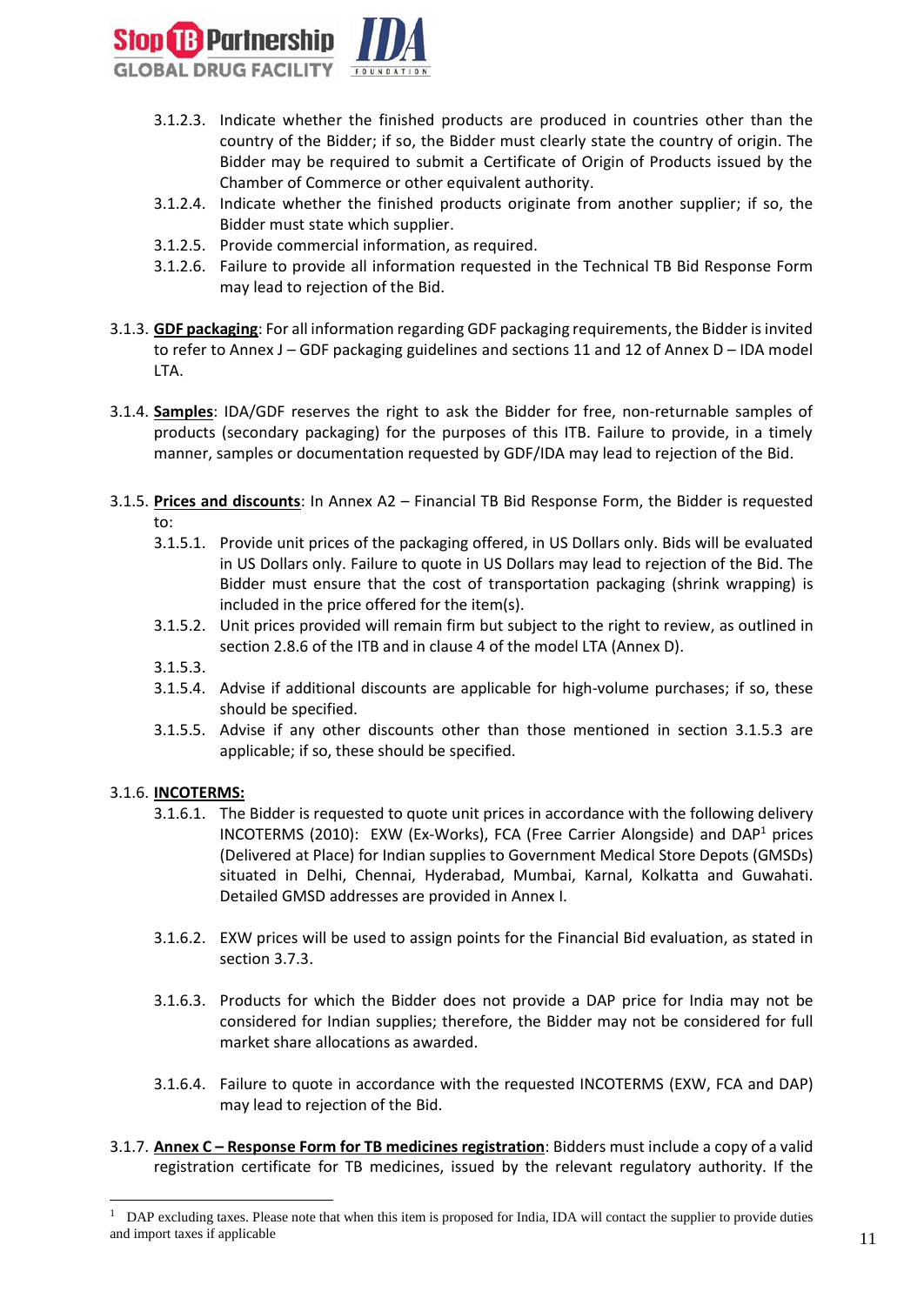

- 3.1.2.3. Indicate whether the finished products are produced in countries other than the country of the Bidder; if so, the Bidder must clearly state the country of origin. The Bidder may be required to submit a Certificate of Origin of Products issued by the Chamber of Commerce or other equivalent authority.
- 3.1.2.4. Indicate whether the finished products originate from another supplier; if so, the Bidder must state which supplier.
- 3.1.2.5. Provide commercial information, as required.
- 3.1.2.6. Failure to provide all information requested in the Technical TB Bid Response Form may lead to rejection of the Bid.
- 3.1.3. **GDF packaging**: For all information regarding GDF packaging requirements, the Bidder is invited to refer to Annex J – GDF packaging guidelines and sections 11 and 12 of Annex D – IDA model LTA.
- 3.1.4. **Samples**: IDA/GDF reserves the right to ask the Bidder for free, non-returnable samples of products (secondary packaging) for the purposes of this ITB. Failure to provide, in a timely manner, samples or documentation requested by GDF/IDA may lead to rejection of the Bid.
- 3.1.5. **Prices and discounts**: In Annex A2 Financial TB Bid Response Form, the Bidder is requested to:
	- 3.1.5.1. Provide unit prices of the packaging offered, in US Dollars only. Bids will be evaluated in US Dollars only. Failure to quote in US Dollars may lead to rejection of the Bid. The Bidder must ensure that the cost of transportation packaging (shrink wrapping) is included in the price offered for the item(s).
	- 3.1.5.2. Unit prices provided will remain firm but subject to the right to review, as outlined in section 2.8.6 of the ITB and in clause 4 of the model LTA (Annex D).
	- 3.1.5.3.
	- 3.1.5.4. Advise if additional discounts are applicable for high-volume purchases; if so, these should be specified.
	- 3.1.5.5. Advise if any other discounts other than those mentioned in section 3.1.5.3 are applicable; if so, these should be specified.

#### 3.1.6. **INCOTERMS:**

1

- 3.1.6.1. The Bidder is requested to quote unit prices in accordance with the following delivery INCOTERMS (2010): EXW (Ex-Works), FCA (Free Carrier Alongside) and  $DAP<sup>1</sup>$  prices (Delivered at Place) for Indian supplies to Government Medical Store Depots (GMSDs) situated in Delhi, Chennai, Hyderabad, Mumbai, Karnal, Kolkatta and Guwahati. Detailed GMSD addresses are provided in Annex I.
- 3.1.6.2. EXW prices will be used to assign points for the Financial Bid evaluation, as stated in section 3.7.3.
- 3.1.6.3. Products for which the Bidder does not provide a DAP price for India may not be considered for Indian supplies; therefore, the Bidder may not be considered for full market share allocations as awarded.
- 3.1.6.4. Failure to quote in accordance with the requested INCOTERMS (EXW, FCA and DAP) may lead to rejection of the Bid.
- 3.1.7. **Annex C – Response Form for TB medicines registration**: Bidders must include a copy of a valid registration certificate for TB medicines, issued by the relevant regulatory authority. If the

<sup>&</sup>lt;sup>1</sup> DAP excluding taxes. Please note that when this item is proposed for India, IDA will contact the supplier to provide duties and import taxes if applicable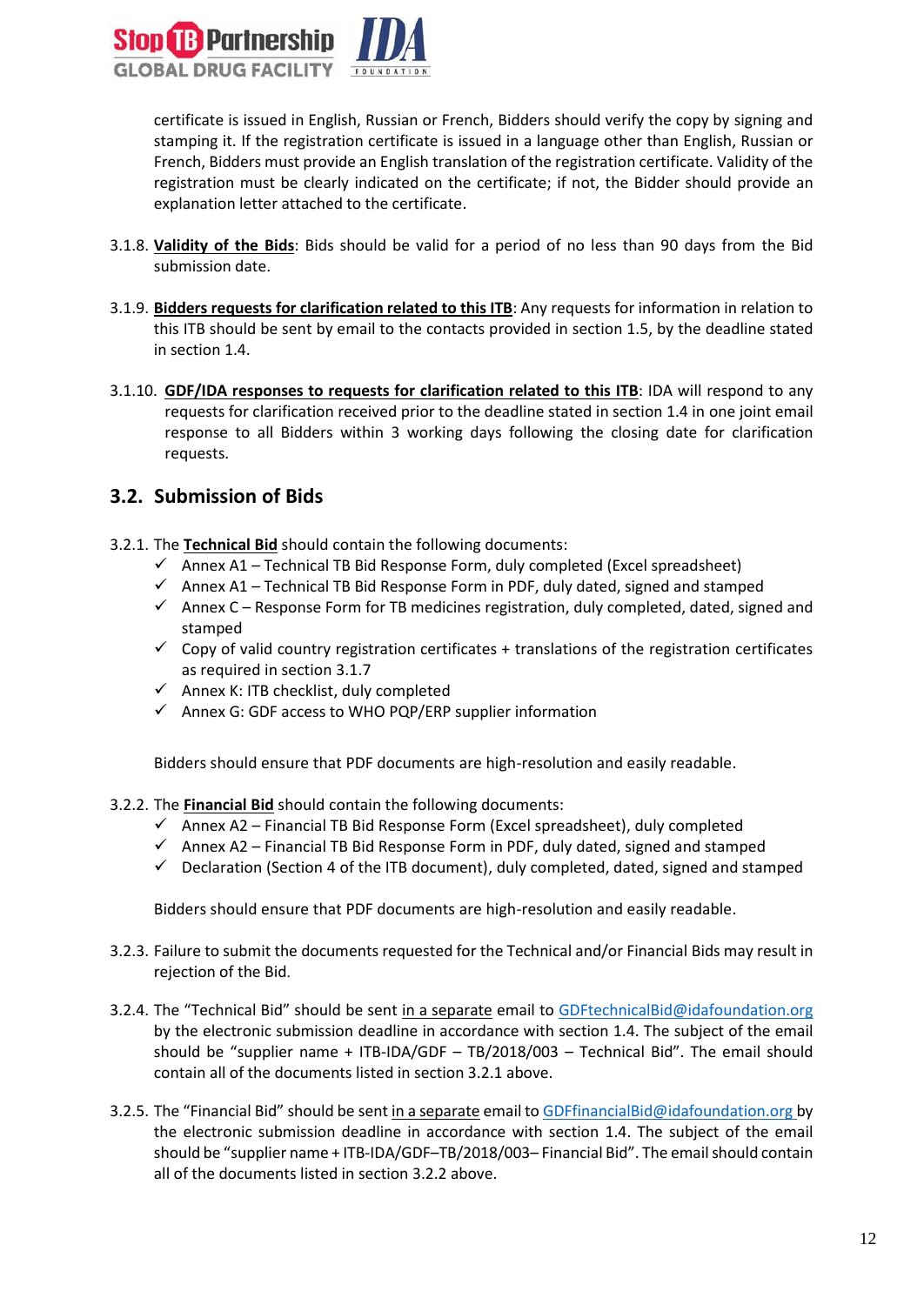

certificate is issued in English, Russian or French, Bidders should verify the copy by signing and stamping it. If the registration certificate is issued in a language other than English, Russian or French, Bidders must provide an English translation of the registration certificate. Validity of the registration must be clearly indicated on the certificate; if not, the Bidder should provide an explanation letter attached to the certificate.

- 3.1.8. **Validity of the Bids**: Bids should be valid for a period of no less than 90 days from the Bid submission date.
- 3.1.9. **Bidders requests for clarification related to this ITB**: Any requests for information in relation to this ITB should be sent by email to the contacts provided in section 1.5, by the deadline stated in section 1.4.
- 3.1.10. **GDF/IDA responses to requests for clarification related to this ITB**: IDA will respond to any requests for clarification received prior to the deadline stated in section 1.4 in one joint email response to all Bidders within 3 working days following the closing date for clarification requests.

#### <span id="page-11-0"></span>**3.2. Submission of Bids**

- 3.2.1. The **Technical Bid** should contain the following documents:
	- $\checkmark$  Annex A1 Technical TB Bid Response Form, duly completed (Excel spreadsheet)
	- $\checkmark$  Annex A1 Technical TB Bid Response Form in PDF, duly dated, signed and stamped
	- $\checkmark$  Annex C Response Form for TB medicines registration, duly completed, dated, signed and stamped
	- $\checkmark$  Copy of valid country registration certificates + translations of the registration certificates as required in section 3.1.7
	- $\checkmark$  Annex K: ITB checklist, duly completed
	- ✓ Annex G: GDF access to WHO PQP/ERP supplier information

Bidders should ensure that PDF documents are high-resolution and easily readable.

- 3.2.2. The **Financial Bid** should contain the following documents:
	- $\checkmark$  Annex A2 Financial TB Bid Response Form (Excel spreadsheet), duly completed
	- $\checkmark$  Annex A2 Financial TB Bid Response Form in PDF, duly dated, signed and stamped
	- $\checkmark$  Declaration (Section 4 of the ITB document), duly completed, dated, signed and stamped

Bidders should ensure that PDF documents are high-resolution and easily readable.

- 3.2.3. Failure to submit the documents requested for the Technical and/or Financial Bids may result in rejection of the Bid.
- 3.2.4. The "Technical Bid" should be sent in a separate email to GD[FtechnicalBid@idafoundation.org](mailto:technicalbid@idafoundation.org) by the electronic submission deadline in accordance with section 1.4. The subject of the email should be "supplier name + ITB-IDA/GDF – TB/2018/003 – Technical Bid". The email should contain all of the documents listed in section 3.2.1 above.
- 3.2.5. The "Financial Bid" should be sent in a separate email to GD[FfinancialBid@idafoundation.org](mailto:financialbid@idafoundation.org) by the electronic submission deadline in accordance with section 1.4. The subject of the email should be "supplier name + ITB-IDA/GDF–TB/2018/003– Financial Bid". The email should contain all of the documents listed in section 3.2.2 above.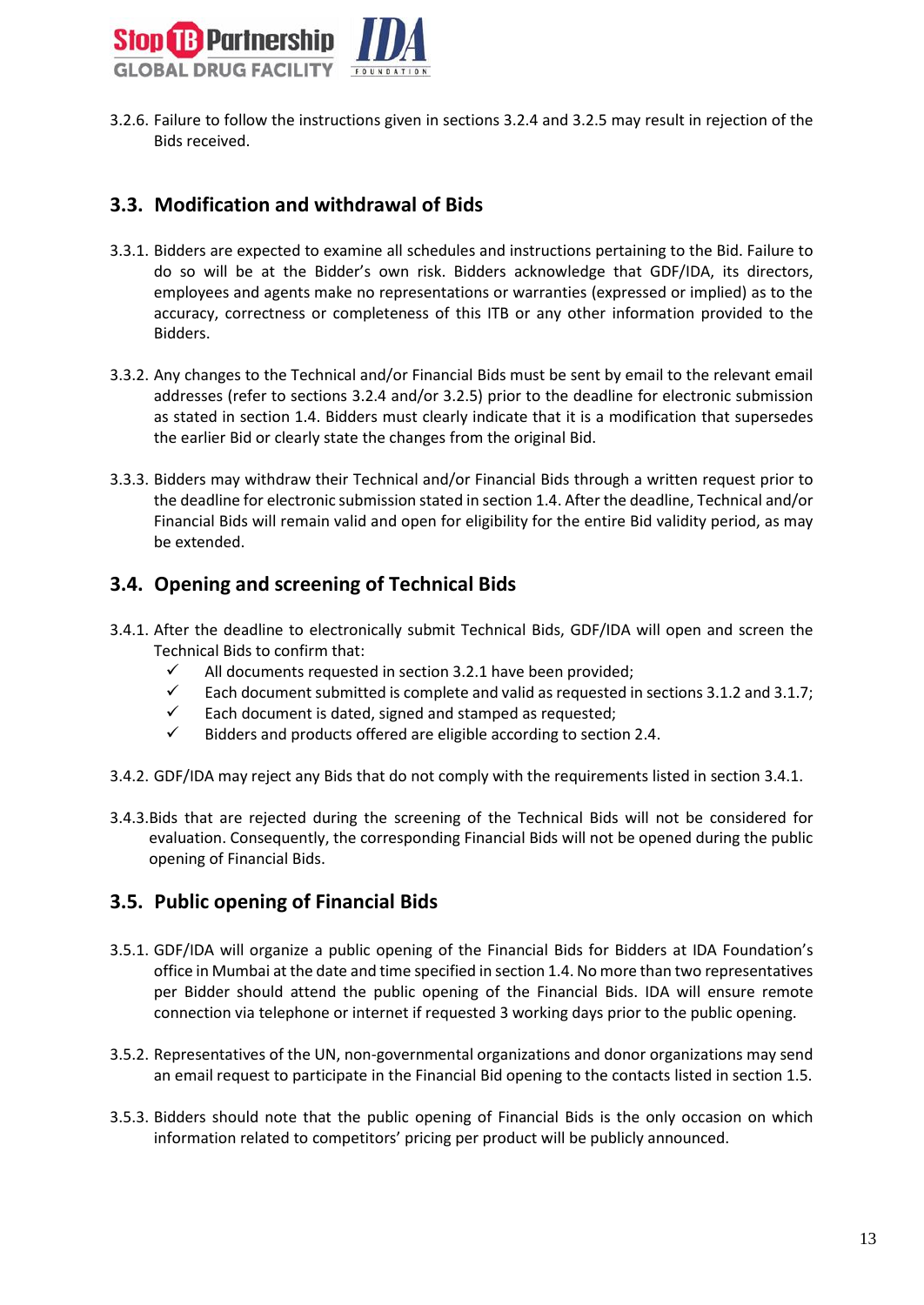

3.2.6. Failure to follow the instructions given in sections 3.2.4 and 3.2.5 may result in rejection of the Bids received.

#### <span id="page-12-0"></span>**3.3. Modification and withdrawal of Bids**

- 3.3.1. Bidders are expected to examine all schedules and instructions pertaining to the Bid. Failure to do so will be at the Bidder's own risk. Bidders acknowledge that GDF/IDA, its directors, employees and agents make no representations or warranties (expressed or implied) as to the accuracy, correctness or completeness of this ITB or any other information provided to the Bidders.
- 3.3.2. Any changes to the Technical and/or Financial Bids must be sent by email to the relevant email addresses (refer to sections 3.2.4 and/or 3.2.5) prior to the deadline for electronic submission as stated in section 1.4. Bidders must clearly indicate that it is a modification that supersedes the earlier Bid or clearly state the changes from the original Bid.
- 3.3.3. Bidders may withdraw their Technical and/or Financial Bids through a written request prior to the deadline for electronic submission stated in section 1.4. After the deadline, Technical and/or Financial Bids will remain valid and open for eligibility for the entire Bid validity period, as may be extended.

#### <span id="page-12-1"></span>**3.4. Opening and screening of Technical Bids**

- 3.4.1. After the deadline to electronically submit Technical Bids, GDF/IDA will open and screen the Technical Bids to confirm that:
	- $\checkmark$  All documents requested in section 3.2.1 have been provided;
	- $\checkmark$  Each document submitted is complete and valid as requested in sections 3.1.2 and 3.1.7;
	- $\checkmark$  Each document is dated, signed and stamped as requested;
	- $\checkmark$  Bidders and products offered are eligible according to section 2.4.
- 3.4.2. GDF/IDA may reject any Bids that do not comply with the requirements listed in section 3.4.1.
- 3.4.3.Bids that are rejected during the screening of the Technical Bids will not be considered for evaluation. Consequently, the corresponding Financial Bids will not be opened during the public opening of Financial Bids.

#### <span id="page-12-2"></span>**3.5. Public opening of Financial Bids**

- 3.5.1. GDF/IDA will organize a public opening of the Financial Bids for Bidders at IDA Foundation's office in Mumbai at the date and time specified in section 1.4. No more than two representatives per Bidder should attend the public opening of the Financial Bids. IDA will ensure remote connection via telephone or internet if requested 3 working days prior to the public opening.
- 3.5.2. Representatives of the UN, non-governmental organizations and donor organizations may send an email request to participate in the Financial Bid opening to the contacts listed in section 1.5.
- 3.5.3. Bidders should note that the public opening of Financial Bids is the only occasion on which information related to competitors' pricing per product will be publicly announced.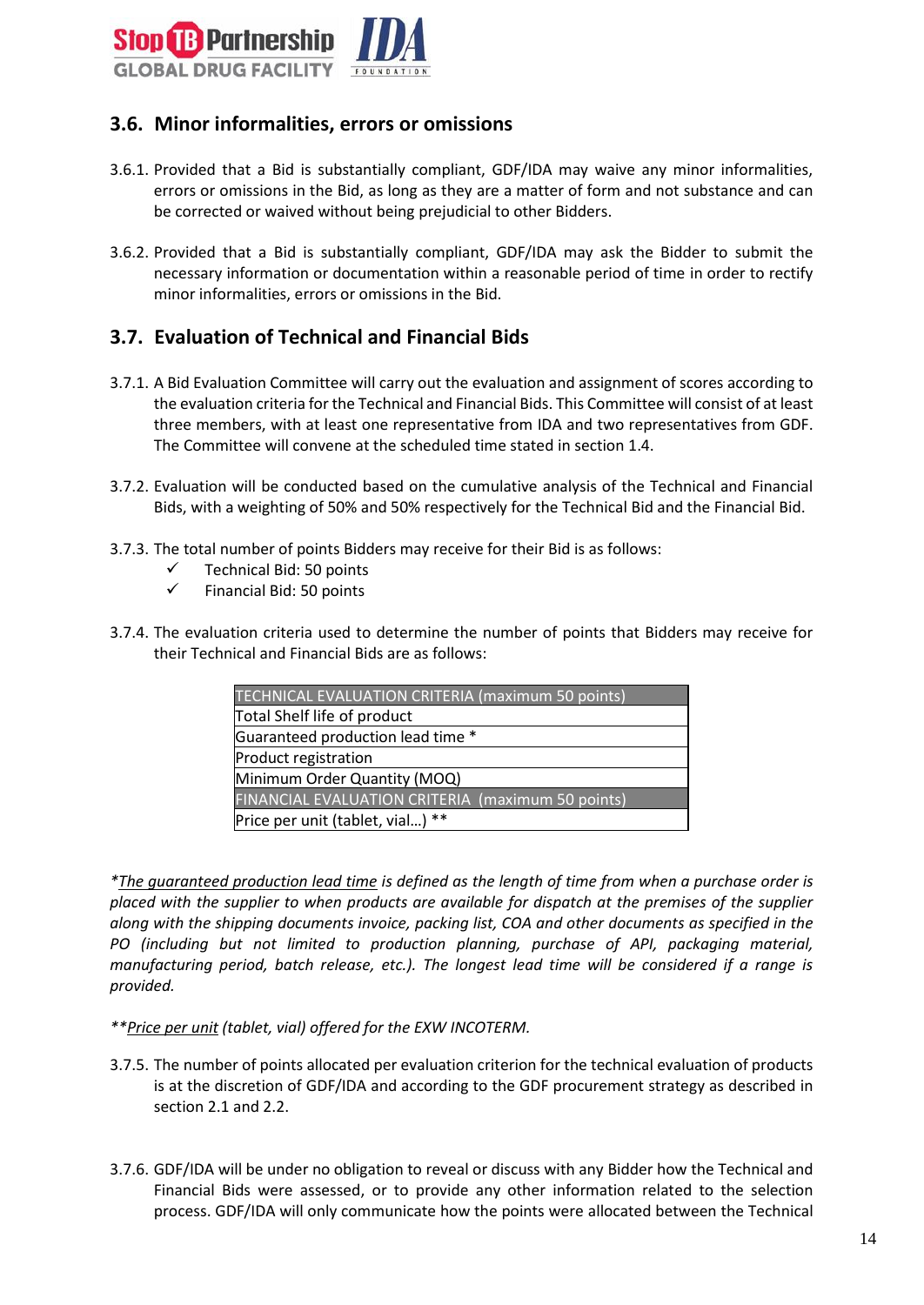

#### <span id="page-13-0"></span>**3.6. Minor informalities, errors or omissions**

- 3.6.1. Provided that a Bid is substantially compliant, GDF/IDA may waive any minor informalities, errors or omissions in the Bid, as long as they are a matter of form and not substance and can be corrected or waived without being prejudicial to other Bidders.
- 3.6.2. Provided that a Bid is substantially compliant, GDF/IDA may ask the Bidder to submit the necessary information or documentation within a reasonable period of time in order to rectify minor informalities, errors or omissions in the Bid.

#### <span id="page-13-1"></span>**3.7. Evaluation of Technical and Financial Bids**

- 3.7.1. A Bid Evaluation Committee will carry out the evaluation and assignment of scores according to the evaluation criteria for the Technical and Financial Bids. This Committee will consist of at least three members, with at least one representative from IDA and two representatives from GDF. The Committee will convene at the scheduled time stated in section 1.4.
- 3.7.2. Evaluation will be conducted based on the cumulative analysis of the Technical and Financial Bids, with a weighting of 50% and 50% respectively for the Technical Bid and the Financial Bid.
- 3.7.3. The total number of points Bidders may receive for their Bid is as follows:
	- Technical Bid: 50 points
	- $\checkmark$  Financial Bid: 50 points
- 3.7.4. The evaluation criteria used to determine the number of points that Bidders may receive for their Technical and Financial Bids are as follows:

| <b>TECHNICAL EVALUATION CRITERIA (maximum 50 points)</b> |
|----------------------------------------------------------|
| Total Shelf life of product                              |
| Guaranteed production lead time *                        |
| Product registration                                     |
| Minimum Order Quantity (MOQ)                             |
| FINANCIAL EVALUATION CRITERIA (maximum 50 points)        |
| Price per unit (tablet, vial) **                         |

*\*The guaranteed production lead time is defined as the length of time from when a purchase order is placed with the supplier to when products are available for dispatch at the premises of the supplier along with the shipping documents invoice, packing list, COA and other documents as specified in the PO (including but not limited to production planning, purchase of API, packaging material, manufacturing period, batch release, etc.). The longest lead time will be considered if a range is provided.*

- *\*\*Price per unit (tablet, vial) offered for the EXW INCOTERM.*
- 3.7.5. The number of points allocated per evaluation criterion for the technical evaluation of products is at the discretion of GDF/IDA and according to the GDF procurement strategy as described in section 2.1 and 2.2.
- 3.7.6. GDF/IDA will be under no obligation to reveal or discuss with any Bidder how the Technical and Financial Bids were assessed, or to provide any other information related to the selection process. GDF/IDA will only communicate how the points were allocated between the Technical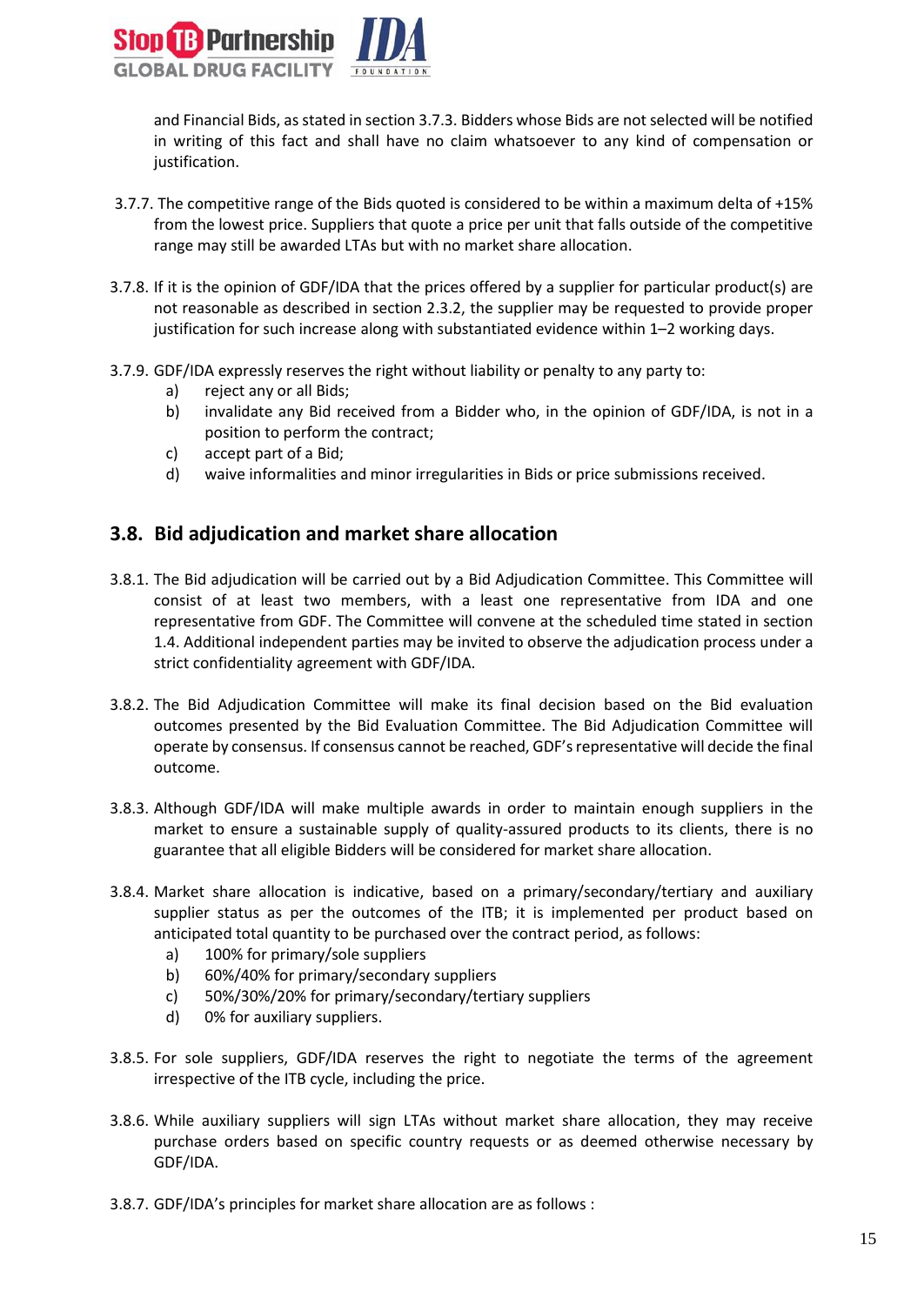

and Financial Bids, as stated in section 3.7.3. Bidders whose Bids are not selected will be notified in writing of this fact and shall have no claim whatsoever to any kind of compensation or justification.

- 3.7.7. The competitive range of the Bids quoted is considered to be within a maximum delta of +15% from the lowest price. Suppliers that quote a price per unit that falls outside of the competitive range may still be awarded LTAs but with no market share allocation.
- 3.7.8. If it is the opinion of GDF/IDA that the prices offered by a supplier for particular product(s) are not reasonable as described in section 2.3.2, the supplier may be requested to provide proper justification for such increase along with substantiated evidence within 1–2 working days.
- 3.7.9. GDF/IDA expressly reserves the right without liability or penalty to any party to:
	- a) reject any or all Bids;
	- b) invalidate any Bid received from a Bidder who, in the opinion of GDF/IDA, is not in a position to perform the contract;
	- c) accept part of a Bid;
	- d) waive informalities and minor irregularities in Bids or price submissions received.

#### <span id="page-14-0"></span>**3.8. Bid adjudication and market share allocation**

- 3.8.1. The Bid adjudication will be carried out by a Bid Adjudication Committee. This Committee will consist of at least two members, with a least one representative from IDA and one representative from GDF. The Committee will convene at the scheduled time stated in section 1.4. Additional independent parties may be invited to observe the adjudication process under a strict confidentiality agreement with GDF/IDA.
- 3.8.2. The Bid Adjudication Committee will make its final decision based on the Bid evaluation outcomes presented by the Bid Evaluation Committee. The Bid Adjudication Committee will operate by consensus. If consensus cannot be reached, GDF'srepresentative will decide the final outcome.
- 3.8.3. Although GDF/IDA will make multiple awards in order to maintain enough suppliers in the market to ensure a sustainable supply of quality-assured products to its clients, there is no guarantee that all eligible Bidders will be considered for market share allocation.
- 3.8.4. Market share allocation is indicative, based on a primary/secondary/tertiary and auxiliary supplier status as per the outcomes of the ITB; it is implemented per product based on anticipated total quantity to be purchased over the contract period, as follows:
	- a) 100% for primary/sole suppliers
	- b) 60%/40% for primary/secondary suppliers
	- c) 50%/30%/20% for primary/secondary/tertiary suppliers
	- d) 0% for auxiliary suppliers.
- 3.8.5. For sole suppliers, GDF/IDA reserves the right to negotiate the terms of the agreement irrespective of the ITB cycle, including the price.
- 3.8.6. While auxiliary suppliers will sign LTAs without market share allocation, they may receive purchase orders based on specific country requests or as deemed otherwise necessary by GDF/IDA.
- 3.8.7. GDF/IDA's principles for market share allocation are as follows :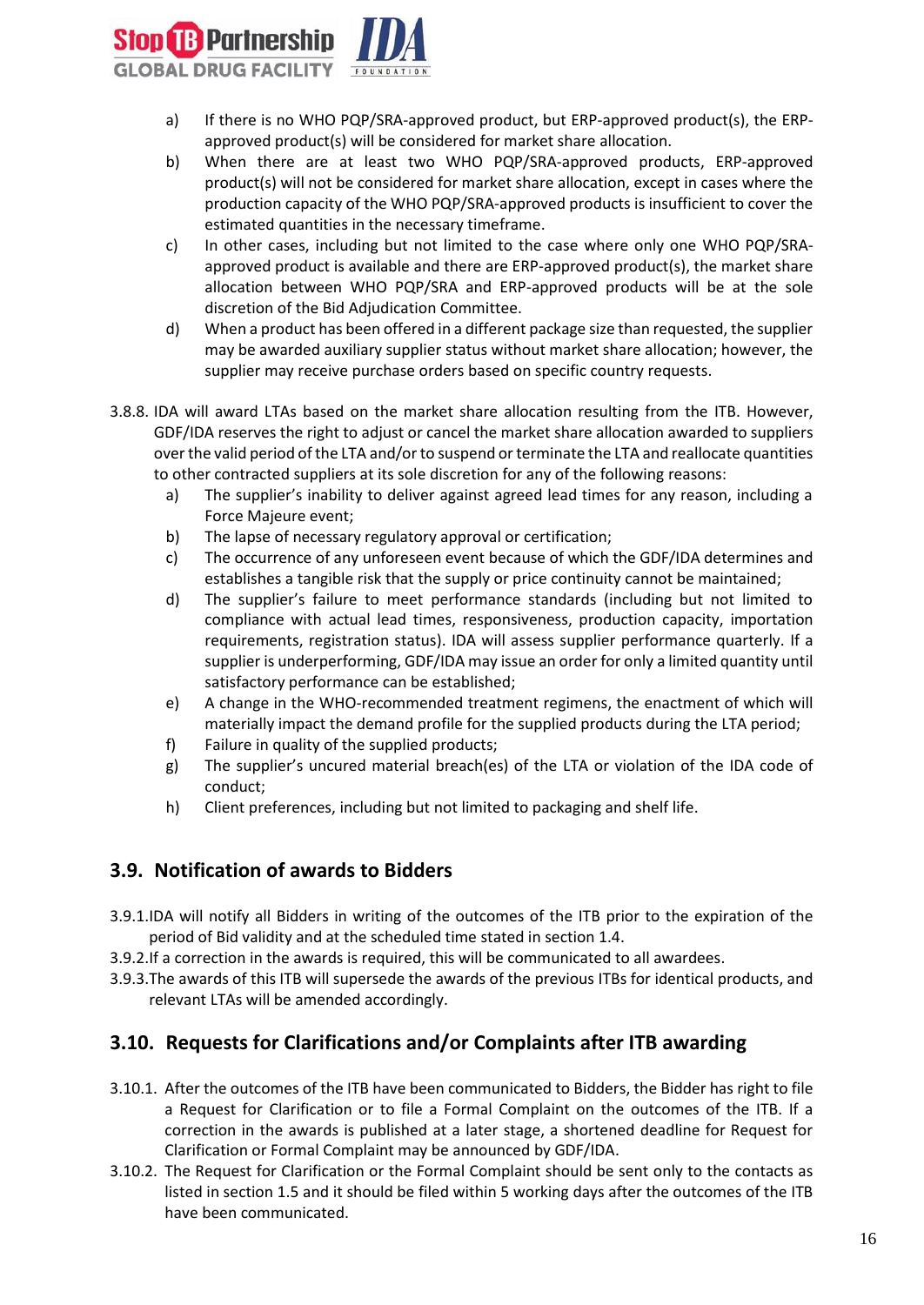

- a) If there is no WHO PQP/SRA-approved product, but ERP-approved product(s), the ERPapproved product(s) will be considered for market share allocation.
- b) When there are at least two WHO PQP/SRA-approved products, ERP-approved product(s) will not be considered for market share allocation, except in cases where the production capacity of the WHO PQP/SRA-approved products is insufficient to cover the estimated quantities in the necessary timeframe.
- c) In other cases, including but not limited to the case where only one WHO PQP/SRAapproved product is available and there are ERP-approved product(s), the market share allocation between WHO PQP/SRA and ERP-approved products will be at the sole discretion of the Bid Adjudication Committee.
- d) When a product has been offered in a different package size than requested, the supplier may be awarded auxiliary supplier status without market share allocation; however, the supplier may receive purchase orders based on specific country requests.
- 3.8.8. IDA will award LTAs based on the market share allocation resulting from the ITB. However, GDF/IDA reserves the right to adjust or cancel the market share allocation awarded to suppliers over the valid period of the LTA and/or to suspend or terminate the LTA and reallocate quantities to other contracted suppliers at its sole discretion for any of the following reasons:
	- a) The supplier's inability to deliver against agreed lead times for any reason, including a Force Majeure event;
	- b) The lapse of necessary regulatory approval or certification;
	- c) The occurrence of any unforeseen event because of which the GDF/IDA determines and establishes a tangible risk that the supply or price continuity cannot be maintained;
	- d) The supplier's failure to meet performance standards (including but not limited to compliance with actual lead times, responsiveness, production capacity, importation requirements, registration status). IDA will assess supplier performance quarterly. If a supplier is underperforming, GDF/IDA may issue an order for only a limited quantity until satisfactory performance can be established;
	- e) A change in the WHO-recommended treatment regimens, the enactment of which will materially impact the demand profile for the supplied products during the LTA period;
	- f) Failure in quality of the supplied products;
	- g) The supplier's uncured material breach(es) of the LTA or violation of the IDA code of conduct;
	- h) Client preferences, including but not limited to packaging and shelf life.

## <span id="page-15-0"></span>**3.9. Notification of awards to Bidders**

- 3.9.1.IDA will notify all Bidders in writing of the outcomes of the ITB prior to the expiration of the period of Bid validity and at the scheduled time stated in section 1.4.
- 3.9.2.If a correction in the awards is required, this will be communicated to all awardees.
- 3.9.3.The awards of this ITB will supersede the awards of the previous ITBs for identical products, and relevant LTAs will be amended accordingly.

## <span id="page-15-1"></span>**3.10. Requests for Clarifications and/or Complaints after ITB awarding**

- 3.10.1. After the outcomes of the ITB have been communicated to Bidders, the Bidder has right to file a Request for Clarification or to file a Formal Complaint on the outcomes of the ITB. If a correction in the awards is published at a later stage, a shortened deadline for Request for Clarification or Formal Complaint may be announced by GDF/IDA.
- 3.10.2. The Request for Clarification or the Formal Complaint should be sent only to the contacts as listed in section 1.5 and it should be filed within 5 working days after the outcomes of the ITB have been communicated.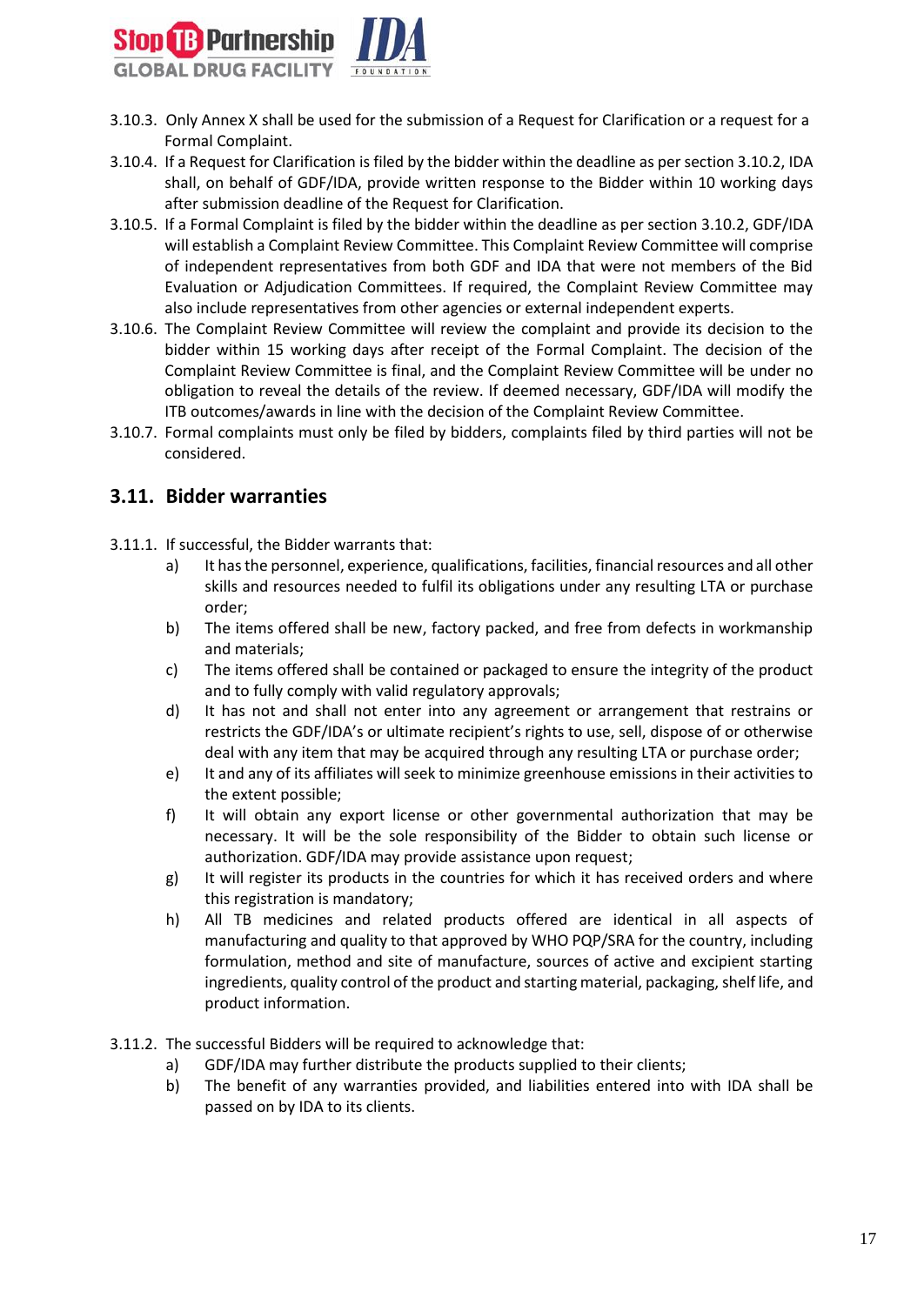

- 3.10.3. Only Annex X shall be used for the submission of a Request for Clarification or a request for a Formal Complaint.
- 3.10.4. If a Request for Clarification is filed by the bidder within the deadline as per section 3.10.2, IDA shall, on behalf of GDF/IDA, provide written response to the Bidder within 10 working days after submission deadline of the Request for Clarification.
- 3.10.5. If a Formal Complaint is filed by the bidder within the deadline as per section 3.10.2, GDF/IDA will establish a Complaint Review Committee. This Complaint Review Committee will comprise of independent representatives from both GDF and IDA that were not members of the Bid Evaluation or Adjudication Committees. If required, the Complaint Review Committee may also include representatives from other agencies or external independent experts.
- 3.10.6. The Complaint Review Committee will review the complaint and provide its decision to the bidder within 15 working days after receipt of the Formal Complaint. The decision of the Complaint Review Committee is final, and the Complaint Review Committee will be under no obligation to reveal the details of the review. If deemed necessary, GDF/IDA will modify the ITB outcomes/awards in line with the decision of the Complaint Review Committee.
- 3.10.7. Formal complaints must only be filed by bidders, complaints filed by third parties will not be considered.

#### <span id="page-16-0"></span>**3.11. Bidder warranties**

- 3.11.1. If successful, the Bidder warrants that:
	- a) It has the personnel, experience, qualifications, facilities, financial resources and all other skills and resources needed to fulfil its obligations under any resulting LTA or purchase order;
	- b) The items offered shall be new, factory packed, and free from defects in workmanship and materials;
	- c) The items offered shall be contained or packaged to ensure the integrity of the product and to fully comply with valid regulatory approvals;
	- d) It has not and shall not enter into any agreement or arrangement that restrains or restricts the GDF/IDA's or ultimate recipient's rights to use, sell, dispose of or otherwise deal with any item that may be acquired through any resulting LTA or purchase order;
	- e) It and any of its affiliates will seek to minimize greenhouse emissions in their activities to the extent possible;
	- f) It will obtain any export license or other governmental authorization that may be necessary. It will be the sole responsibility of the Bidder to obtain such license or authorization. GDF/IDA may provide assistance upon request;
	- g) It will register its products in the countries for which it has received orders and where this registration is mandatory;
	- h) All TB medicines and related products offered are identical in all aspects of manufacturing and quality to that approved by WHO PQP/SRA for the country, including formulation, method and site of manufacture, sources of active and excipient starting ingredients, quality control of the product and starting material, packaging, shelf life, and product information.
- 3.11.2. The successful Bidders will be required to acknowledge that:
	- a) GDF/IDA may further distribute the products supplied to their clients;
	- b) The benefit of any warranties provided, and liabilities entered into with IDA shall be passed on by IDA to its clients.